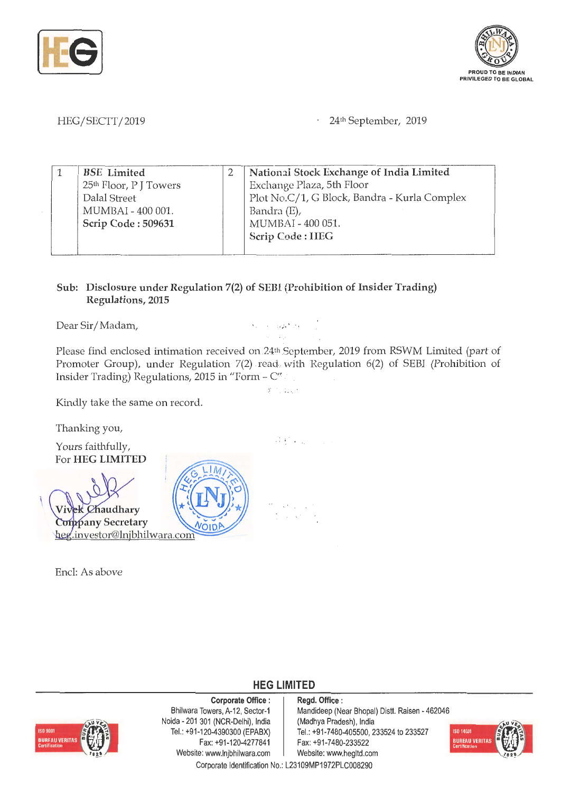



HEG/SECTT/2019

24<sup>th</sup> September, 2019

| <b>BSE</b> Limited<br>25 <sup>th</sup> Floor, P J Towers | National Stock Exchange of India Limited<br>Exchange Plaza, 5th Floor                                |  |  |  |  |  |  |
|----------------------------------------------------------|------------------------------------------------------------------------------------------------------|--|--|--|--|--|--|
| Dalal Street<br>MUMBAI - 400 001.<br>Scrip Code: 509631  | Plot No.C/1, G Block, Bandra - Kurla Complex<br>Bandra (E),<br>MUMBAI - 400 051.<br>Scrip Code: IIEG |  |  |  |  |  |  |

## **Sub: Disclosure under Regulation 7(2) of SEBI (Prohibition of Insider Trading) Regulations, 2015**

Dear Sir/Madam, and the state of the state of the state of the state of the state of the state of the state of the state of the state of the state of the state of the state of the state of the state of the state of the sta

Please find enclosed intimation received on 24<sup>th</sup> September, 2019 from RSWM Limited (part of Promoter Group), under Regulation 7(2) read- with Regulation 6(2) of SEBI (Prohibition of Insider Trading) Regulations, 2015 in "Form -  $C''$ 

ri di Ch

 $\mathcal{A} \in \mathcal{A}$  ,

Kindly take the same on record.

Thanking you,

Yours faithfully, For **HEG LIMITED** 



Encl: As above



**HEG LIMITED** 

## **Corporate Office** :

ISO 9001 **BUREAU VERITAS** 

Bhilwara Towers, A-12, Sector-1 Noida - 201 301 (NCR-Delhi), India Tel.: +91 -120-4390300 (EPABX) Fax: +91-120-4277841 Website: www.lnjbhilwara.com | Website: www.hegltd.com

**Regd. Office** : Mandideep (Near Bhopal) Distt. Raisen - 462046 (Madhya Pradesh), India Tel.: +91-7480-405500, 233524 to 233527 Fax: +91-7480-233522



Corporate Identification No.: L23109MP1972PLC008290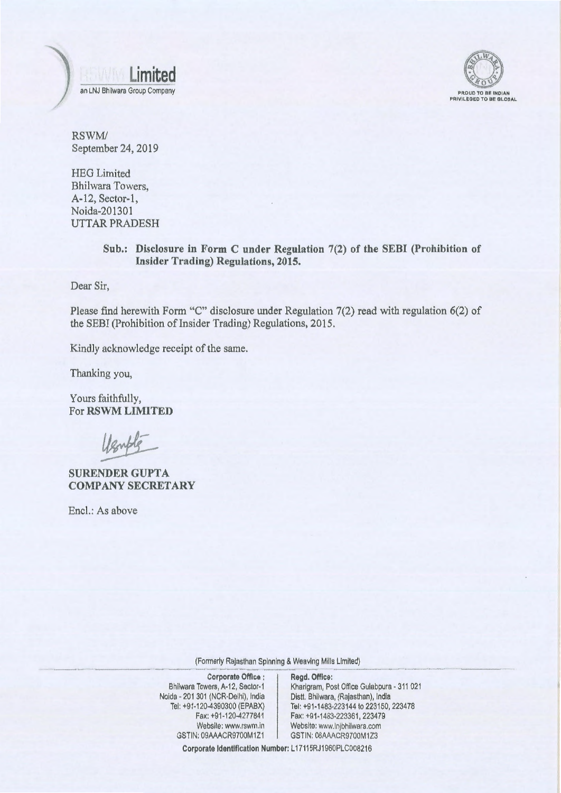



RSWM/ September 24, 2019

HEG Limited Bhilwara Towers, A-12, Sector-I, Noida-201301 UTTAR PRADESH

> **Sub.: Disclosure in Form C under Regulation** 7(2) of **the SEBI (Prohibition of Insider Trading) Regulations, 2015.**

Dear Sir,

Please find herewith Form "C" disclosure under Regulation 7(2) read with regulation 6(2) of the SEBI (Prohibition of Insider Trading) Regulations, 2015.

Kindly acknowledge receipt of the same.

Thanking you,

Yours faithfully, For **RSWM LIMITED** 

lenble

**SURENDER GUPTA COMPANY SECRETARY** 

Encl.: As above

(Formerly Rajasthan Spinning & Weaving Mills Limited)

**Corporate Office** : Bhilwara Towers, A-12, Sector-1 Noida - 201 301 (NCR-Delhi), India Tel: +91-1 20-4390300 (EPABX) Fax: +91-120-4277841 Website: www.rswm.in GSTIN: 09AAACR9700M1Z1

**Regd. Office:**  Kharigram, Post Office Gulabpura - 311 021 Distt. Bhilwara, (Rajasthan), India Tel: +91-1483-223144 to 223150, 223478 Fax: +91-1483-223361, 223479 Website: www.lnjbhilwara.com GSTIN: 08AAACR9700M1Z3

Corporate Identification Number: L17115RJ1960PLC008216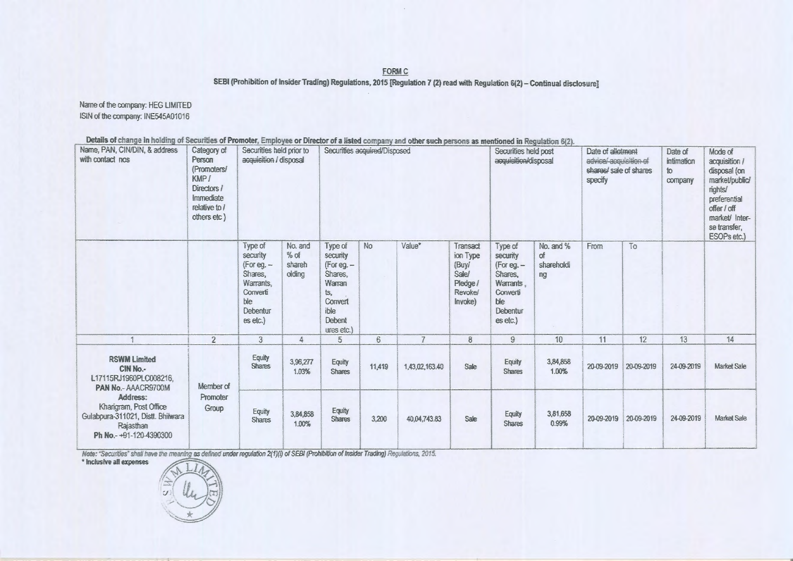**FORM C** 

SEBI (Prohibition of Insider Trading) Regulations, 2015 [Regulation 7 (2) read with Regulation 6(2) - Continual disclosure]

Name of the company: HEG LIMITED ISIN of the company: INE545A01016

Details of change in holding of Securities of Promoter, Employee or Director of a listed company and other such persons as mentioned in Regulation 6(2).

| Name, PAN, CIN/DIN, & address<br>with contact nos                                                                                                                                                  | Category of<br>Person<br>(Promoters/<br>KMP /<br>Directors /<br>Immediate<br>relative to $l$<br>others etc) | Securities held prior to<br>Securities acquired/Disposed<br>acquisition / disposal                     |                                       |                                                                                                          |                |                |                                                                                 | Securities held post<br>acquisition/disposal                                                           |                                     | Date of allotment<br>advice/-acquisition-of<br>shares/ sale of shares<br>specify |            | Mode of<br>acquisition /<br>disposal (on<br>market/public/<br>rights/<br>preferential<br>offer / off<br>market/ Inter-<br>se transfer,<br>ESOPs etc.) |                    |
|----------------------------------------------------------------------------------------------------------------------------------------------------------------------------------------------------|-------------------------------------------------------------------------------------------------------------|--------------------------------------------------------------------------------------------------------|---------------------------------------|----------------------------------------------------------------------------------------------------------|----------------|----------------|---------------------------------------------------------------------------------|--------------------------------------------------------------------------------------------------------|-------------------------------------|----------------------------------------------------------------------------------|------------|-------------------------------------------------------------------------------------------------------------------------------------------------------|--------------------|
|                                                                                                                                                                                                    |                                                                                                             | Type of<br>security<br>$(For eq. -$<br>Shares,<br>Warrants,<br>Converti<br>ble<br>Debentur<br>es etc.) | No. and<br>$%$ of<br>shareh<br>olding | Type of<br>security<br>(For eg. -<br>Shares,<br>Warran<br>ts,<br>Convert<br>ible<br>Debent<br>ures etc.) | No             | Value*         | Transact<br>ion Type<br>(Buy/<br>Sale/<br>Pledge /<br><b>Revokel</b><br>Invoke) | Type of<br>security<br>(For eg. $-$<br>Shares,<br>Warrants.<br>Converti<br>ble<br>Debentur<br>es etc.) | No. and %<br>of<br>shareholdi<br>ng | From                                                                             | To         |                                                                                                                                                       |                    |
|                                                                                                                                                                                                    | $\overline{2}$                                                                                              | $\overline{3}$                                                                                         | 4                                     | 5                                                                                                        | $6\phantom{.}$ | $\overline{7}$ | 8                                                                               | 9                                                                                                      | 10 <sup>°</sup>                     | 11                                                                               | 12         | 13                                                                                                                                                    | 14                 |
| <b>RSWM Limited</b><br>CIN No.-<br>L17115RJ1960PLC008216.<br>PAN No.- AAACR9700M<br>Address:<br>Kharigram, Post Office<br>Gulabpura-311021, Distt. Bhilwara<br>Rajasthan<br>Ph No.-+91-120-4390300 | Member of<br>Promoter<br>Group                                                                              | Equity<br><b>Shares</b>                                                                                | 3,96,277<br>1.03%                     | Equity<br><b>Shares</b>                                                                                  | 11,419         | 1,43,02,163.40 | Sale                                                                            | Equity<br><b>Shares</b>                                                                                | 3,84,858<br>1.00%                   | 20-09-2019                                                                       | 20-09-2019 | 24-09-2019                                                                                                                                            | <b>Market Sale</b> |
|                                                                                                                                                                                                    |                                                                                                             | Equity<br><b>Shares</b>                                                                                | 3,84,858<br>1.00%                     | Equity<br><b>Shares</b>                                                                                  | 3,200          | 40.04.743.83   | Sale                                                                            | Equity<br><b>Shares</b>                                                                                | 3,81,658<br>0.99%                   | 20-09-2019                                                                       | 20-09-2019 | 24-09-2019                                                                                                                                            | <b>Market Sale</b> |

Note: "Securities" shall have the meaning as defined under regulation  $2(1)(i)$  of SEBI (Prohibition of Insider Trading) Regulations, 2015.